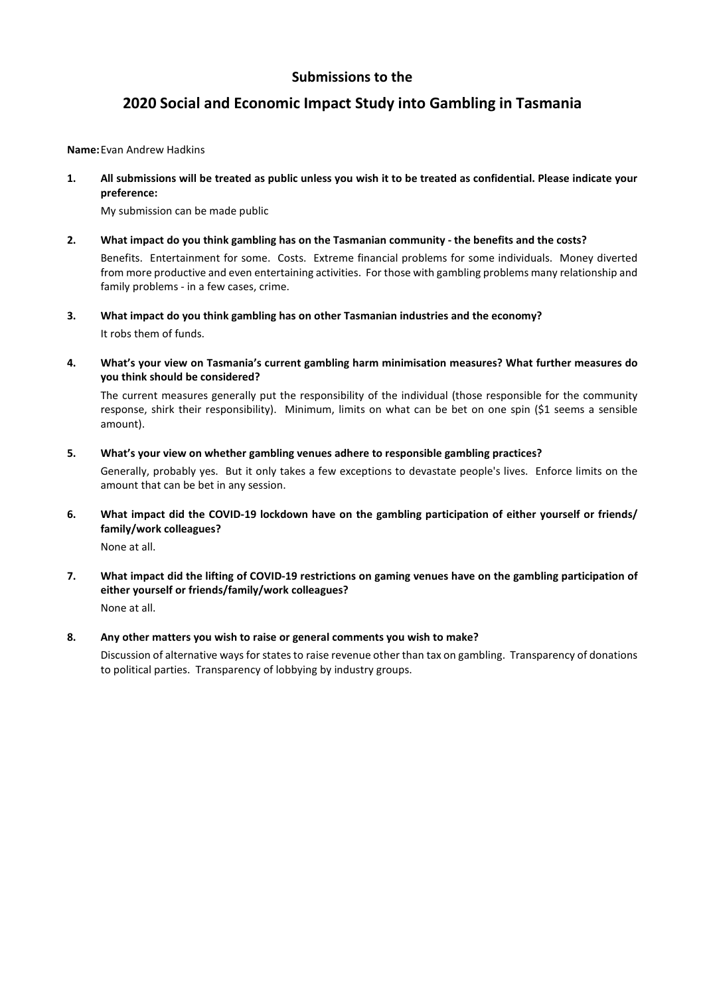## **2020 Social and Economic Impact Study into Gambling in Tasmania**

**Name:** Evan Andrew Hadkins

**1. All submissions will be treated as public unless you wish it to be treated as confidential. Please indicate your preference:** 

My submission can be made public

amount that can be bet in any session.

**2. What impact do you think gambling has on the Tasmanian community - the benefits and the costs?**  Benefits. Entertainment for some. Costs. Extreme financial problems for some individuals. Money diverted

from more productive and even entertaining activities. For those with gambling problems many relationship and family problems - in a few cases, crime.

- **3. What impact do you think gambling has on other Tasmanian industries and the economy?**  It robs them of funds.
- **4. What's your view on Tasmania's current gambling harm minimisation measures? What further measures do you think should be considered?**

The current measures generally put the responsibility of the individual (those responsible for the community response, shirk their responsibility). Minimum, limits on what can be bet on one spin (\$1 seems a sensible amount).

- **5. What's your view on whether gambling venues adhere to responsible gambling practices?**  Generally, probably yes. But it only takes a few exceptions to devastate people's lives. Enforce limits on the
- **6. What impact did the COVID-19 lockdown have on the gambling participation of either yourself or friends/ family/work colleagues?**

None at all.

**7. What impact did the lifting of COVID-19 restrictions on gaming venues have on the gambling participation of either yourself or friends/family/work colleagues?**  None at all.

### **8. Any other matters you wish to raise or general comments you wish to make?**

Discussion of alternative ways for states to raise revenue other than tax on gambling. Transparency of donations to political parties. Transparency of lobbying by industry groups.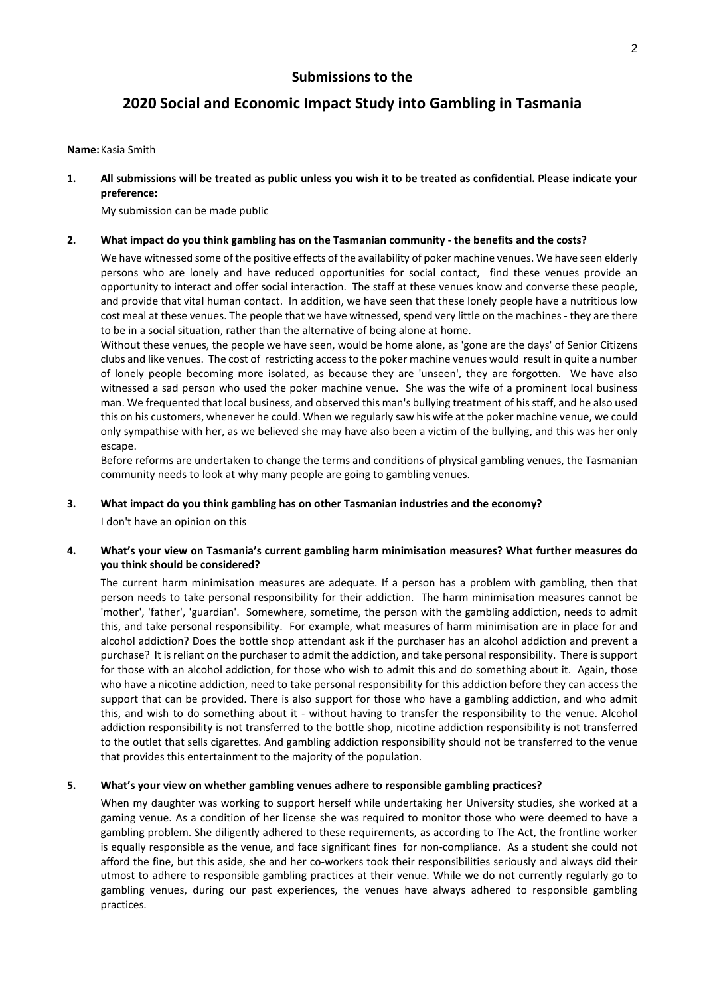## **2020 Social and Economic Impact Study into Gambling in Tasmania**

#### **Name:** Kasia Smith

**1. All submissions will be treated as public unless you wish it to be treated as confidential. Please indicate your preference:** 

My submission can be made public

#### **2. What impact do you think gambling has on the Tasmanian community - the benefits and the costs?**

We have witnessed some of the positive effects of the availability of poker machine venues. We have seen elderly persons who are lonely and have reduced opportunities for social contact, find these venues provide an opportunity to interact and offer social interaction. The staff at these venues know and converse these people, and provide that vital human contact. In addition, we have seen that these lonely people have a nutritious low cost meal at these venues. The people that we have witnessed, spend very little on the machines - they are there to be in a social situation, rather than the alternative of being alone at home.

Without these venues, the people we have seen, would be home alone, as 'gone are the days' of Senior Citizens clubs and like venues. The cost of restricting access to the poker machine venues would result in quite a number of lonely people becoming more isolated, as because they are 'unseen', they are forgotten. We have also witnessed a sad person who used the poker machine venue. She was the wife of a prominent local business man. We frequented that local business, and observed this man's bullying treatment of his staff, and he also used this on his customers, whenever he could. When we regularly saw his wife at the poker machine venue, we could only sympathise with her, as we believed she may have also been a victim of the bullying, and this was her only escape.

Before reforms are undertaken to change the terms and conditions of physical gambling venues, the Tasmanian community needs to look at why many people are going to gambling venues.

### **3. What impact do you think gambling has on other Tasmanian industries and the economy?**

I don't have an opinion on this

### **4. What's your view on Tasmania's current gambling harm minimisation measures? What further measures do you think should be considered?**

The current harm minimisation measures are adequate. If a person has a problem with gambling, then that person needs to take personal responsibility for their addiction. The harm minimisation measures cannot be 'mother', 'father', 'guardian'. Somewhere, sometime, the person with the gambling addiction, needs to admit this, and take personal responsibility. For example, what measures of harm minimisation are in place for and alcohol addiction? Does the bottle shop attendant ask if the purchaser has an alcohol addiction and prevent a purchase? It is reliant on the purchaser to admit the addiction, and take personal responsibility. There is support for those with an alcohol addiction, for those who wish to admit this and do something about it. Again, those who have a nicotine addiction, need to take personal responsibility for this addiction before they can access the support that can be provided. There is also support for those who have a gambling addiction, and who admit this, and wish to do something about it - without having to transfer the responsibility to the venue. Alcohol addiction responsibility is not transferred to the bottle shop, nicotine addiction responsibility is not transferred to the outlet that sells cigarettes. And gambling addiction responsibility should not be transferred to the venue that provides this entertainment to the majority of the population.

### **5. What's your view on whether gambling venues adhere to responsible gambling practices?**

When my daughter was working to support herself while undertaking her University studies, she worked at a gaming venue. As a condition of her license she was required to monitor those who were deemed to have a gambling problem. She diligently adhered to these requirements, as according to The Act, the frontline worker is equally responsible as the venue, and face significant fines for non-compliance. As a student she could not afford the fine, but this aside, she and her co-workers took their responsibilities seriously and always did their utmost to adhere to responsible gambling practices at their venue. While we do not currently regularly go to gambling venues, during our past experiences, the venues have always adhered to responsible gambling practices.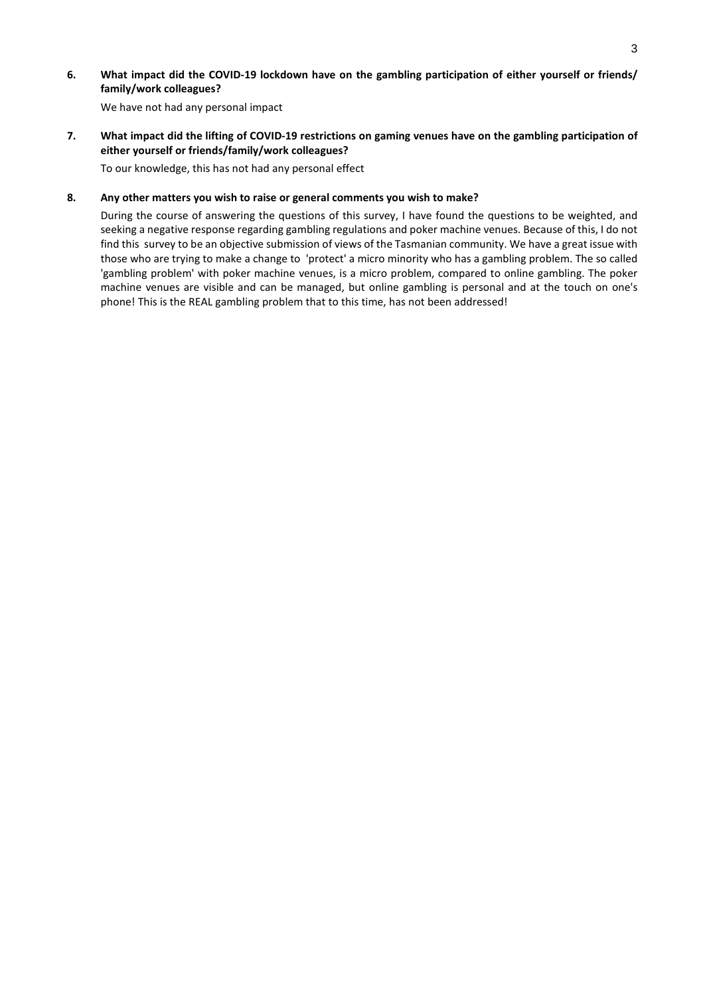**6. What impact did the COVID-19 lockdown have on the gambling participation of either yourself or friends/ family/work colleagues?** 

We have not had any personal impact

**7. What impact did the lifting of COVID-19 restrictions on gaming venues have on the gambling participation of either yourself or friends/family/work colleagues?** 

To our knowledge, this has not had any personal effect

### **8. Any other matters you wish to raise or general comments you wish to make?**

During the course of answering the questions of this survey, I have found the questions to be weighted, and seeking a negative response regarding gambling regulations and poker machine venues. Because of this, I do not find this survey to be an objective submission of views of the Tasmanian community. We have a great issue with those who are trying to make a change to 'protect' a micro minority who has a gambling problem. The so called 'gambling problem' with poker machine venues, is a micro problem, compared to online gambling. The poker machine venues are visible and can be managed, but online gambling is personal and at the touch on one's phone! This is the REAL gambling problem that to this time, has not been addressed!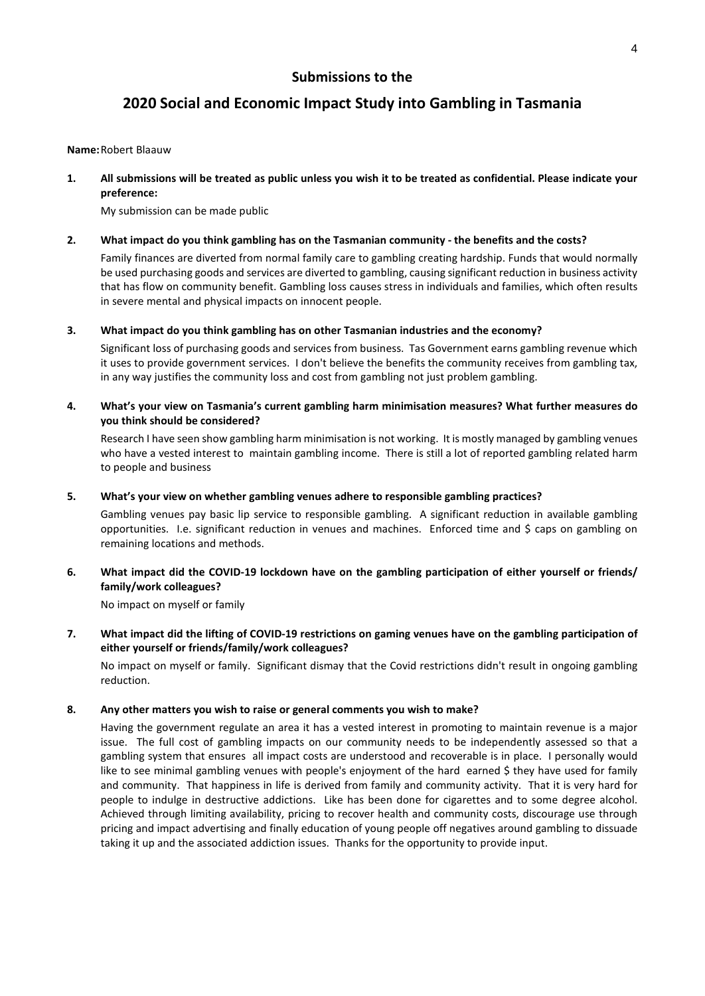## **2020 Social and Economic Impact Study into Gambling in Tasmania**

#### **Name:** Robert Blaauw

**1. All submissions will be treated as public unless you wish it to be treated as confidential. Please indicate your preference:** 

My submission can be made public

### **2. What impact do you think gambling has on the Tasmanian community - the benefits and the costs?**

Family finances are diverted from normal family care to gambling creating hardship. Funds that would normally be used purchasing goods and services are diverted to gambling, causing significant reduction in business activity that has flow on community benefit. Gambling loss causes stress in individuals and families, which often results in severe mental and physical impacts on innocent people.

**3. What impact do you think gambling has on other Tasmanian industries and the economy?** 

Significant loss of purchasing goods and services from business. Tas Government earns gambling revenue which it uses to provide government services. I don't believe the benefits the community receives from gambling tax, in any way justifies the community loss and cost from gambling not just problem gambling.

**4. What's your view on Tasmania's current gambling harm minimisation measures? What further measures do you think should be considered?** 

Research I have seen show gambling harm minimisation is not working. It is mostly managed by gambling venues who have a vested interest to maintain gambling income. There is still a lot of reported gambling related harm to people and business

### **5. What's your view on whether gambling venues adhere to responsible gambling practices?**

Gambling venues pay basic lip service to responsible gambling. A significant reduction in available gambling opportunities. I.e. significant reduction in venues and machines. Enforced time and \$ caps on gambling on remaining locations and methods.

### **6. What impact did the COVID-19 lockdown have on the gambling participation of either yourself or friends/ family/work colleagues?**

No impact on myself or family

### **7. What impact did the lifting of COVID-19 restrictions on gaming venues have on the gambling participation of either yourself or friends/family/work colleagues?**

No impact on myself or family. Significant dismay that the Covid restrictions didn't result in ongoing gambling reduction.

### **8. Any other matters you wish to raise or general comments you wish to make?**

Having the government regulate an area it has a vested interest in promoting to maintain revenue is a major issue. The full cost of gambling impacts on our community needs to be independently assessed so that a gambling system that ensures all impact costs are understood and recoverable is in place. I personally would like to see minimal gambling venues with people's enjoyment of the hard earned \$ they have used for family and community. That happiness in life is derived from family and community activity. That it is very hard for people to indulge in destructive addictions. Like has been done for cigarettes and to some degree alcohol. Achieved through limiting availability, pricing to recover health and community costs, discourage use through pricing and impact advertising and finally education of young people off negatives around gambling to dissuade taking it up and the associated addiction issues. Thanks for the opportunity to provide input.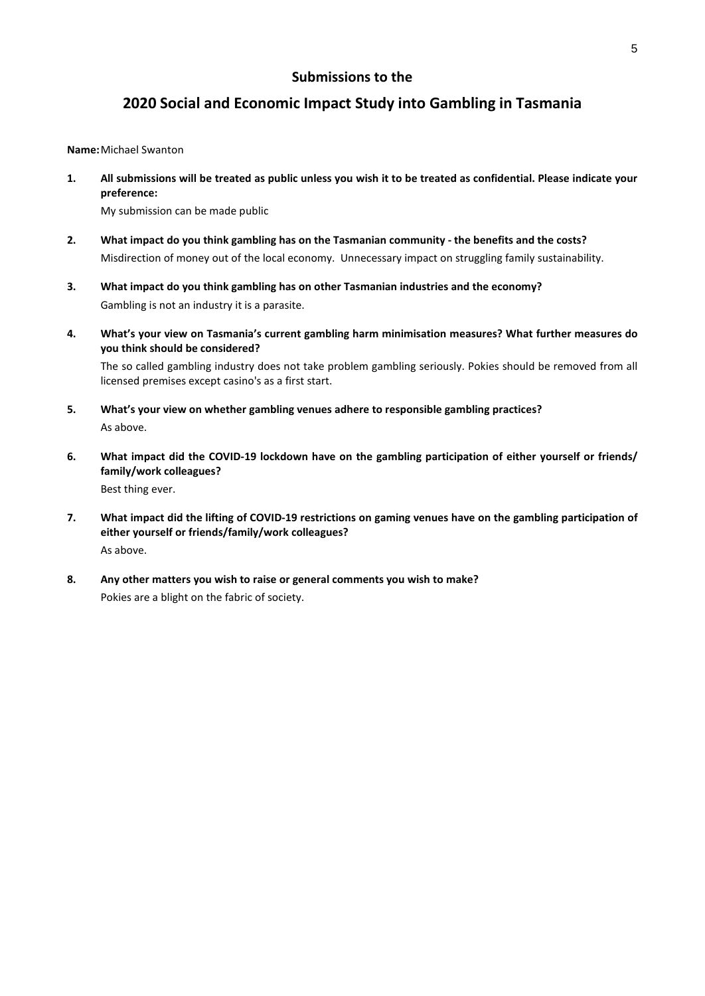## **2020 Social and Economic Impact Study into Gambling in Tasmania**

**Name:** Michael Swanton

**1. All submissions will be treated as public unless you wish it to be treated as confidential. Please indicate your preference:** 

My submission can be made public

- **2. What impact do you think gambling has on the Tasmanian community the benefits and the costs?**  Misdirection of money out of the local economy. Unnecessary impact on struggling family sustainability.
- **3. What impact do you think gambling has on other Tasmanian industries and the economy?**  Gambling is not an industry it is a parasite.
- **4. What's your view on Tasmania's current gambling harm minimisation measures? What further measures do you think should be considered?**

The so called gambling industry does not take problem gambling seriously. Pokies should be removed from all licensed premises except casino's as a first start.

- **5. What's your view on whether gambling venues adhere to responsible gambling practices?**  As above.
- **6. What impact did the COVID-19 lockdown have on the gambling participation of either yourself or friends/ family/work colleagues?**  Best thing ever.
- **7. What impact did the lifting of COVID-19 restrictions on gaming venues have on the gambling participation of either yourself or friends/family/work colleagues?**  As above.
- **8. Any other matters you wish to raise or general comments you wish to make?**  Pokies are a blight on the fabric of society.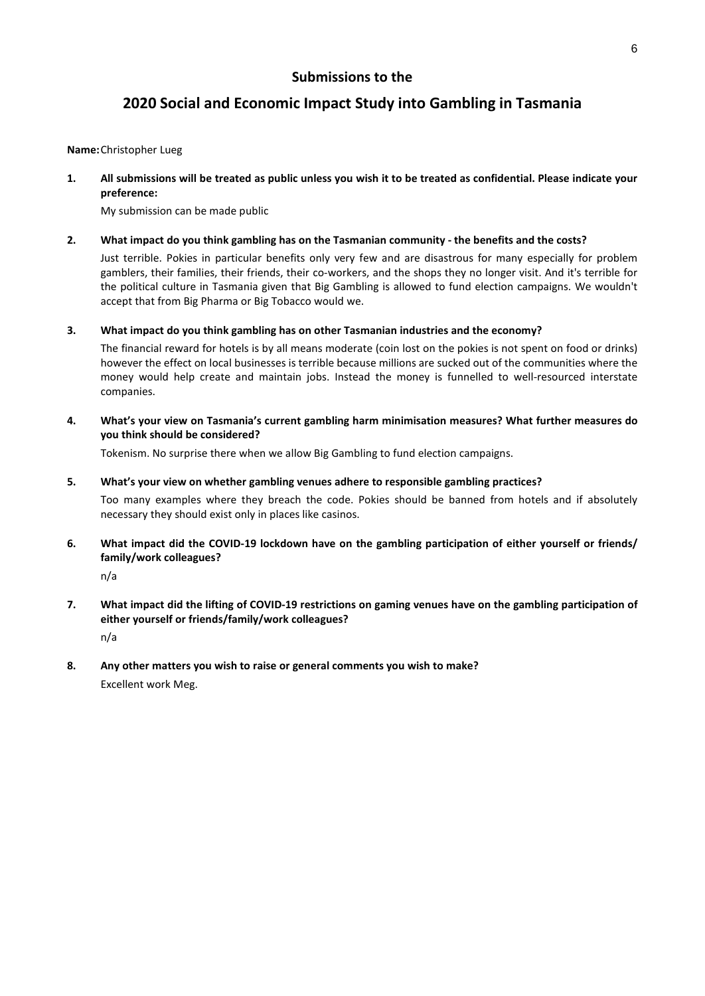## **2020 Social and Economic Impact Study into Gambling in Tasmania**

### **Name:** Christopher Lueg

**1. All submissions will be treated as public unless you wish it to be treated as confidential. Please indicate your preference:** 

My submission can be made public

### **2. What impact do you think gambling has on the Tasmanian community - the benefits and the costs?**

Just terrible. Pokies in particular benefits only very few and are disastrous for many especially for problem gamblers, their families, their friends, their co-workers, and the shops they no longer visit. And it's terrible for the political culture in Tasmania given that Big Gambling is allowed to fund election campaigns. We wouldn't accept that from Big Pharma or Big Tobacco would we.

**3. What impact do you think gambling has on other Tasmanian industries and the economy?** 

The financial reward for hotels is by all means moderate (coin lost on the pokies is not spent on food or drinks) however the effect on local businesses is terrible because millions are sucked out of the communities where the money would help create and maintain jobs. Instead the money is funnelled to well-resourced interstate companies.

**4. What's your view on Tasmania's current gambling harm minimisation measures? What further measures do you think should be considered?** 

Tokenism. No surprise there when we allow Big Gambling to fund election campaigns.

### **5. What's your view on whether gambling venues adhere to responsible gambling practices?**

Too many examples where they breach the code. Pokies should be banned from hotels and if absolutely necessary they should exist only in places like casinos.

**6. What impact did the COVID-19 lockdown have on the gambling participation of either yourself or friends/ family/work colleagues?** 

n/a

- **7. What impact did the lifting of COVID-19 restrictions on gaming venues have on the gambling participation of either yourself or friends/family/work colleagues?**  n/a
- **8. Any other matters you wish to raise or general comments you wish to make?**  Excellent work Meg.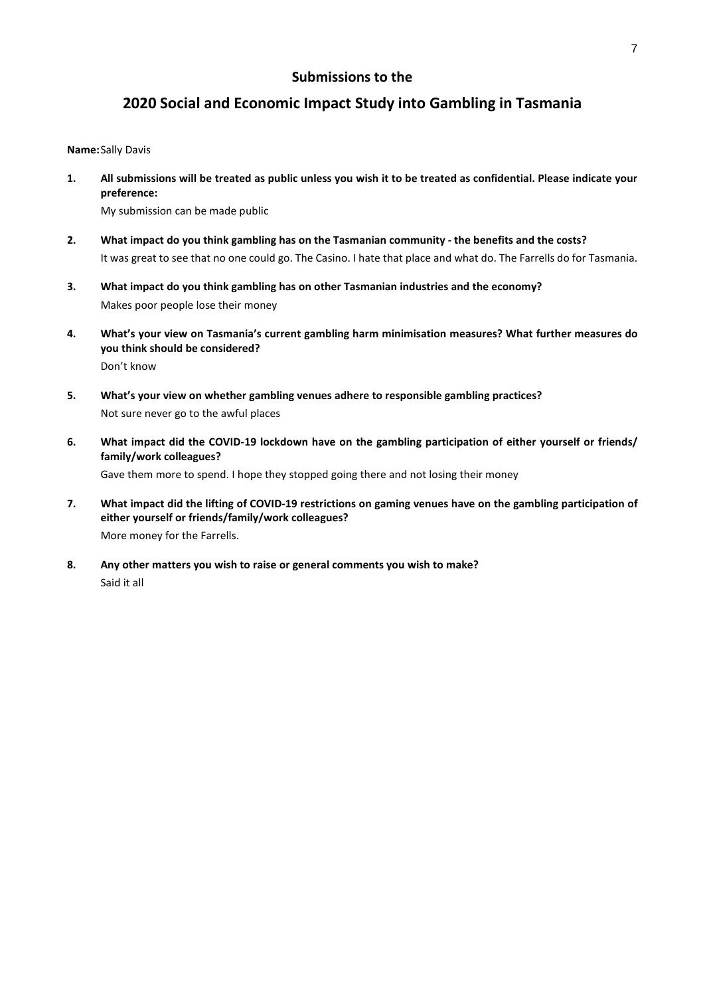## **2020 Social and Economic Impact Study into Gambling in Tasmania**

#### **Name:** Sally Davis

**1. All submissions will be treated as public unless you wish it to be treated as confidential. Please indicate your preference:** 

My submission can be made public

- **2. What impact do you think gambling has on the Tasmanian community the benefits and the costs?**  It was great to see that no one could go. The Casino. I hate that place and what do. The Farrells do for Tasmania.
- **3. What impact do you think gambling has on other Tasmanian industries and the economy?**  Makes poor people lose their money
- **4. What's your view on Tasmania's current gambling harm minimisation measures? What further measures do you think should be considered?**  Don't know
- **5. What's your view on whether gambling venues adhere to responsible gambling practices?**  Not sure never go to the awful places
- **6. What impact did the COVID-19 lockdown have on the gambling participation of either yourself or friends/ family/work colleagues?**  Gave them more to spend. I hope they stopped going there and not losing their money
- **7. What impact did the lifting of COVID-19 restrictions on gaming venues have on the gambling participation of either yourself or friends/family/work colleagues?**  More money for the Farrells.
- **8. Any other matters you wish to raise or general comments you wish to make?**  Said it all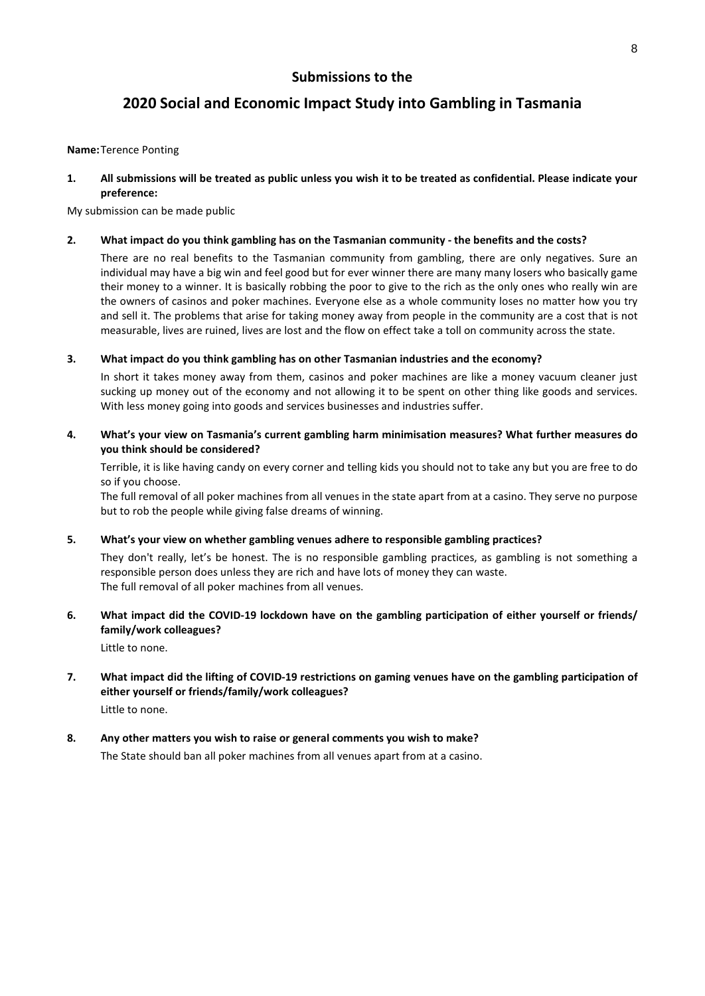## **2020 Social and Economic Impact Study into Gambling in Tasmania**

### **Name:** Terence Ponting

**1. All submissions will be treated as public unless you wish it to be treated as confidential. Please indicate your preference:** 

My submission can be made public

### **2. What impact do you think gambling has on the Tasmanian community - the benefits and the costs?**

There are no real benefits to the Tasmanian community from gambling, there are only negatives. Sure an individual may have a big win and feel good but for ever winner there are many many losers who basically game their money to a winner. It is basically robbing the poor to give to the rich as the only ones who really win are the owners of casinos and poker machines. Everyone else as a whole community loses no matter how you try and sell it. The problems that arise for taking money away from people in the community are a cost that is not measurable, lives are ruined, lives are lost and the flow on effect take a toll on community across the state.

### **3. What impact do you think gambling has on other Tasmanian industries and the economy?**

In short it takes money away from them, casinos and poker machines are like a money vacuum cleaner just sucking up money out of the economy and not allowing it to be spent on other thing like goods and services. With less money going into goods and services businesses and industries suffer.

**4. What's your view on Tasmania's current gambling harm minimisation measures? What further measures do you think should be considered?** 

Terrible, it is like having candy on every corner and telling kids you should not to take any but you are free to do so if you choose.

The full removal of all poker machines from all venues in the state apart from at a casino. They serve no purpose but to rob the people while giving false dreams of winning.

### **5. What's your view on whether gambling venues adhere to responsible gambling practices?**

They don't really, let's be honest. The is no responsible gambling practices, as gambling is not something a responsible person does unless they are rich and have lots of money they can waste. The full removal of all poker machines from all venues.

**6. What impact did the COVID-19 lockdown have on the gambling participation of either yourself or friends/ family/work colleagues?** 

Little to none.

# **7. What impact did the lifting of COVID-19 restrictions on gaming venues have on the gambling participation of either yourself or friends/family/work colleagues?**

Little to none.

# **8. Any other matters you wish to raise or general comments you wish to make?**

The State should ban all poker machines from all venues apart from at a casino.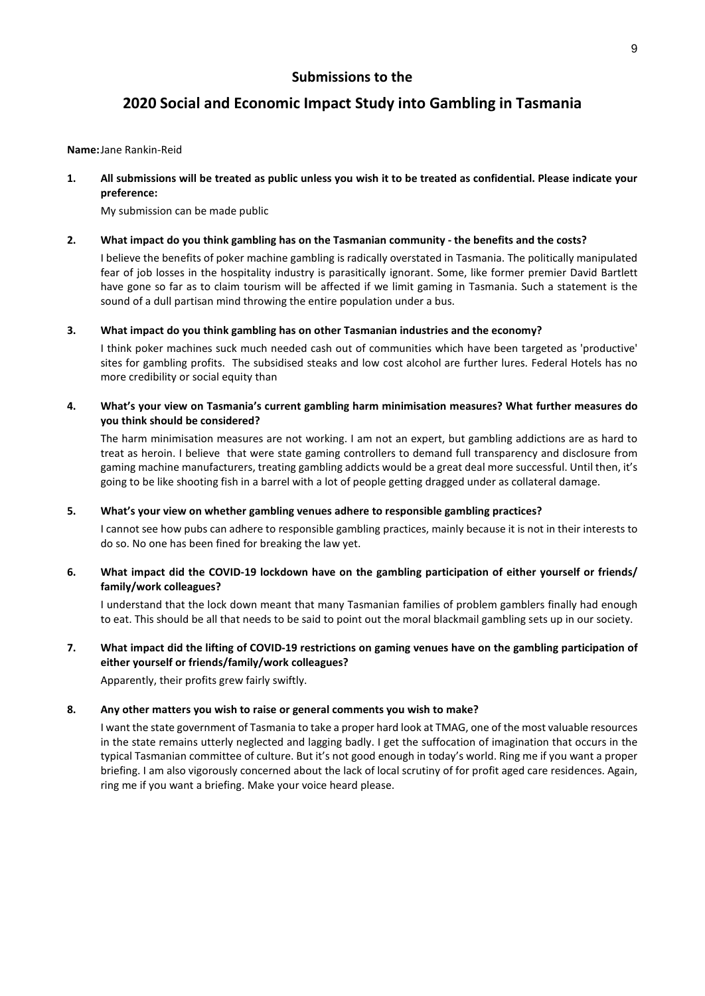## **2020 Social and Economic Impact Study into Gambling in Tasmania**

**Name:** Jane Rankin-Reid

**1. All submissions will be treated as public unless you wish it to be treated as confidential. Please indicate your preference:** 

My submission can be made public

### **2. What impact do you think gambling has on the Tasmanian community - the benefits and the costs?**

I believe the benefits of poker machine gambling is radically overstated in Tasmania. The politically manipulated fear of job losses in the hospitality industry is parasitically ignorant. Some, like former premier David Bartlett have gone so far as to claim tourism will be affected if we limit gaming in Tasmania. Such a statement is the sound of a dull partisan mind throwing the entire population under a bus.

**3. What impact do you think gambling has on other Tasmanian industries and the economy?** 

I think poker machines suck much needed cash out of communities which have been targeted as 'productive' sites for gambling profits. The subsidised steaks and low cost alcohol are further lures. Federal Hotels has no more credibility or social equity than

### **4. What's your view on Tasmania's current gambling harm minimisation measures? What further measures do you think should be considered?**

The harm minimisation measures are not working. I am not an expert, but gambling addictions are as hard to treat as heroin. I believe that were state gaming controllers to demand full transparency and disclosure from gaming machine manufacturers, treating gambling addicts would be a great deal more successful. Until then, it's going to be like shooting fish in a barrel with a lot of people getting dragged under as collateral damage.

### **5. What's your view on whether gambling venues adhere to responsible gambling practices?**

I cannot see how pubs can adhere to responsible gambling practices, mainly because it is not in their interests to do so. No one has been fined for breaking the law yet.

### **6. What impact did the COVID-19 lockdown have on the gambling participation of either yourself or friends/ family/work colleagues?**

I understand that the lock down meant that many Tasmanian families of problem gamblers finally had enough to eat. This should be all that needs to be said to point out the moral blackmail gambling sets up in our society.

### **7. What impact did the lifting of COVID-19 restrictions on gaming venues have on the gambling participation of either yourself or friends/family/work colleagues?**

Apparently, their profits grew fairly swiftly.

### **8. Any other matters you wish to raise or general comments you wish to make?**

I want the state government of Tasmania to take a proper hard look at TMAG, one of the most valuable resources in the state remains utterly neglected and lagging badly. I get the suffocation of imagination that occurs in the typical Tasmanian committee of culture. But it's not good enough in today's world. Ring me if you want a proper briefing. I am also vigorously concerned about the lack of local scrutiny of for profit aged care residences. Again, ring me if you want a briefing. Make your voice heard please.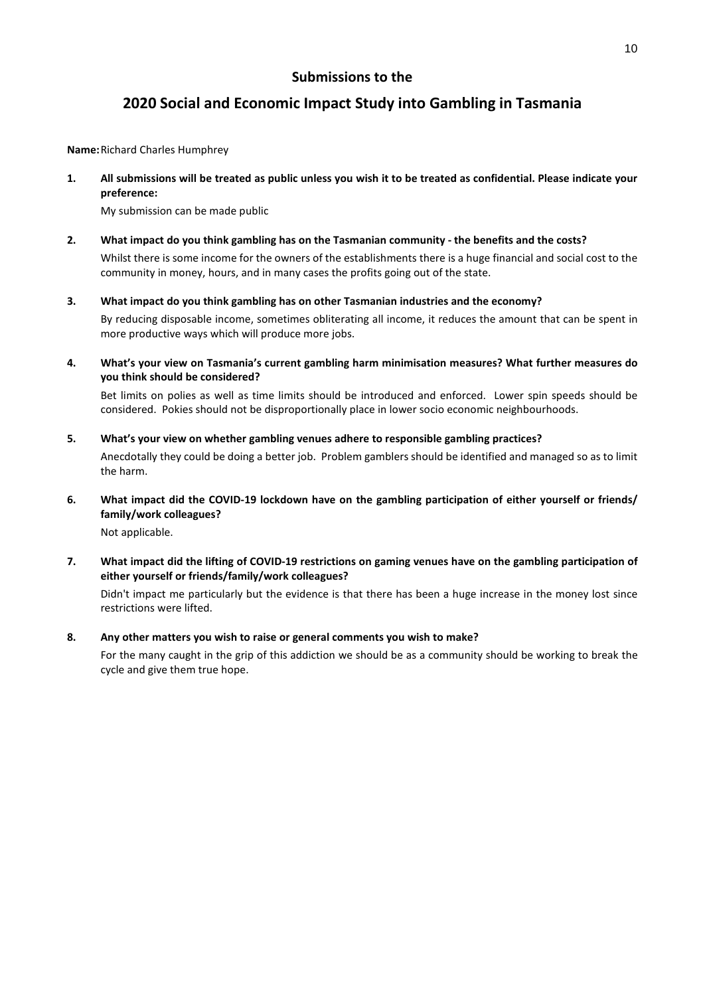## **2020 Social and Economic Impact Study into Gambling in Tasmania**

**Name:** Richard Charles Humphrey

**1. All submissions will be treated as public unless you wish it to be treated as confidential. Please indicate your preference:** 

My submission can be made public

**2. What impact do you think gambling has on the Tasmanian community - the benefits and the costs?**  Whilst there is some income for the owners of the establishments there is a huge financial and social cost to the

community in money, hours, and in many cases the profits going out of the state.

**3. What impact do you think gambling has on other Tasmanian industries and the economy?** 

By reducing disposable income, sometimes obliterating all income, it reduces the amount that can be spent in more productive ways which will produce more jobs.

**4. What's your view on Tasmania's current gambling harm minimisation measures? What further measures do you think should be considered?** 

Bet limits on polies as well as time limits should be introduced and enforced. Lower spin speeds should be considered. Pokies should not be disproportionally place in lower socio economic neighbourhoods.

**5. What's your view on whether gambling venues adhere to responsible gambling practices?** 

Anecdotally they could be doing a better job. Problem gamblers should be identified and managed so as to limit the harm.

**6. What impact did the COVID-19 lockdown have on the gambling participation of either yourself or friends/ family/work colleagues?** 

Not applicable.

**7. What impact did the lifting of COVID-19 restrictions on gaming venues have on the gambling participation of either yourself or friends/family/work colleagues?** 

Didn't impact me particularly but the evidence is that there has been a huge increase in the money lost since restrictions were lifted.

### **8. Any other matters you wish to raise or general comments you wish to make?**

For the many caught in the grip of this addiction we should be as a community should be working to break the cycle and give them true hope.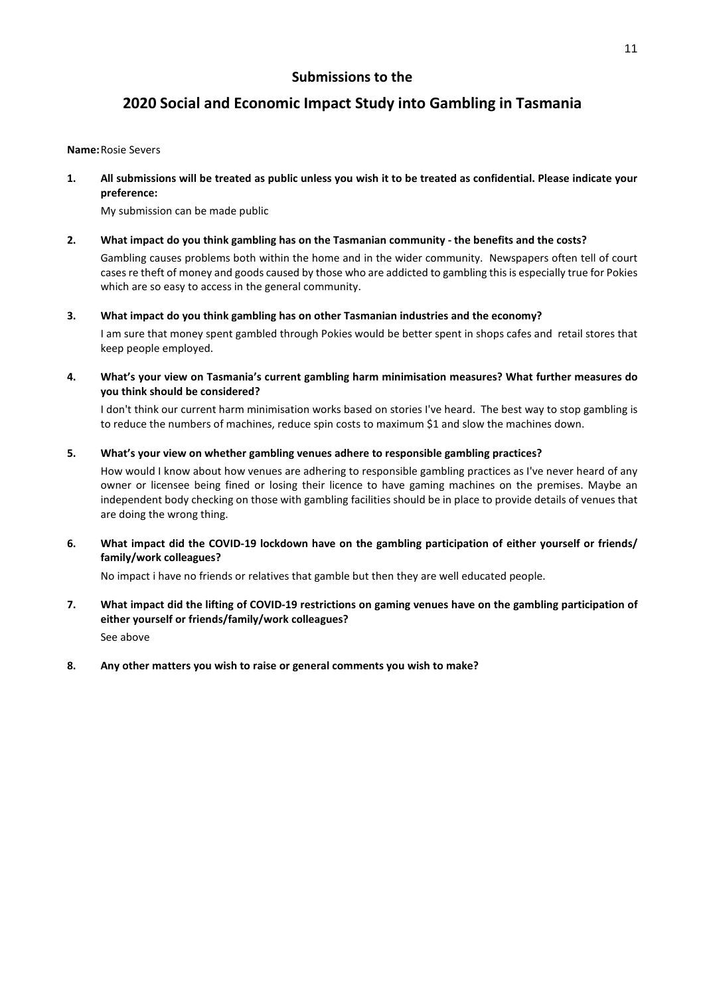## **2020 Social and Economic Impact Study into Gambling in Tasmania**

#### **Name:** Rosie Severs

**1. All submissions will be treated as public unless you wish it to be treated as confidential. Please indicate your preference:** 

My submission can be made public

### **2. What impact do you think gambling has on the Tasmanian community - the benefits and the costs?**

Gambling causes problems both within the home and in the wider community. Newspapers often tell of court cases re theft of money and goods caused by those who are addicted to gambling this is especially true for Pokies which are so easy to access in the general community.

### **3. What impact do you think gambling has on other Tasmanian industries and the economy?**

I am sure that money spent gambled through Pokies would be better spent in shops cafes and retail stores that keep people employed.

**4. What's your view on Tasmania's current gambling harm minimisation measures? What further measures do you think should be considered?** 

I don't think our current harm minimisation works based on stories I've heard. The best way to stop gambling is to reduce the numbers of machines, reduce spin costs to maximum \$1 and slow the machines down.

### **5. What's your view on whether gambling venues adhere to responsible gambling practices?**

How would I know about how venues are adhering to responsible gambling practices as I've never heard of any owner or licensee being fined or losing their licence to have gaming machines on the premises. Maybe an independent body checking on those with gambling facilities should be in place to provide details of venues that are doing the wrong thing.

**6. What impact did the COVID-19 lockdown have on the gambling participation of either yourself or friends/ family/work colleagues?** 

No impact i have no friends or relatives that gamble but then they are well educated people.

- **7. What impact did the lifting of COVID-19 restrictions on gaming venues have on the gambling participation of either yourself or friends/family/work colleagues?**  See above
- **8. Any other matters you wish to raise or general comments you wish to make?**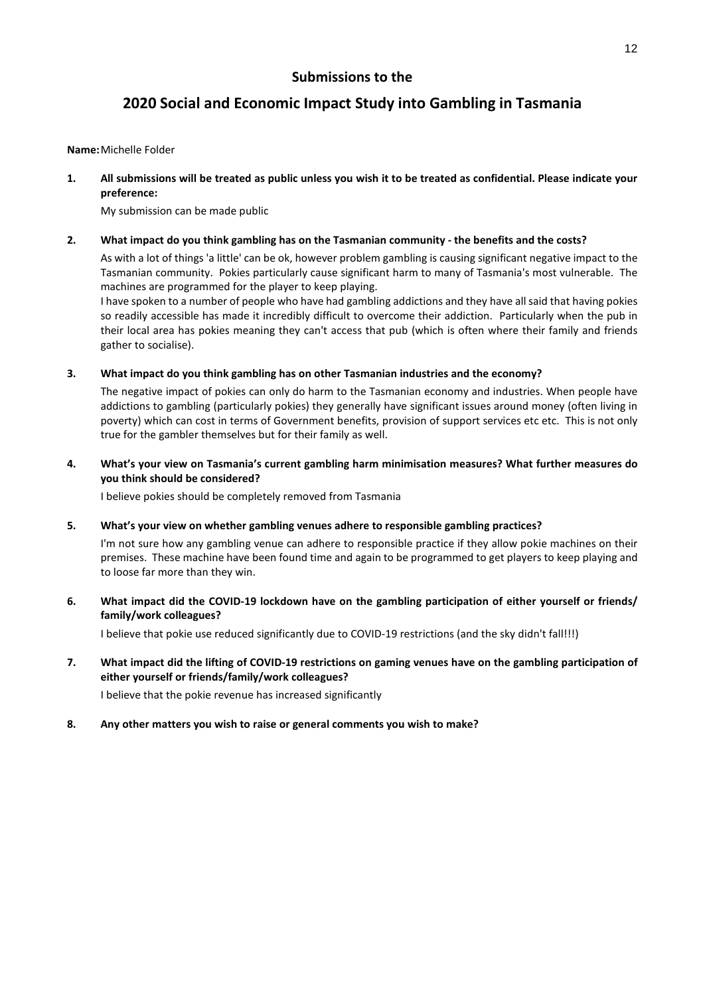## **2020 Social and Economic Impact Study into Gambling in Tasmania**

### **Name:** Michelle Folder

**1. All submissions will be treated as public unless you wish it to be treated as confidential. Please indicate your preference:** 

My submission can be made public

### **2. What impact do you think gambling has on the Tasmanian community - the benefits and the costs?**

As with a lot of things 'a little' can be ok, however problem gambling is causing significant negative impact to the Tasmanian community. Pokies particularly cause significant harm to many of Tasmania's most vulnerable. The machines are programmed for the player to keep playing.

I have spoken to a number of people who have had gambling addictions and they have all said that having pokies so readily accessible has made it incredibly difficult to overcome their addiction. Particularly when the pub in their local area has pokies meaning they can't access that pub (which is often where their family and friends gather to socialise).

### **3. What impact do you think gambling has on other Tasmanian industries and the economy?**

The negative impact of pokies can only do harm to the Tasmanian economy and industries. When people have addictions to gambling (particularly pokies) they generally have significant issues around money (often living in poverty) which can cost in terms of Government benefits, provision of support services etc etc. This is not only true for the gambler themselves but for their family as well.

### **4. What's your view on Tasmania's current gambling harm minimisation measures? What further measures do you think should be considered?**

I believe pokies should be completely removed from Tasmania

### **5. What's your view on whether gambling venues adhere to responsible gambling practices?**

I'm not sure how any gambling venue can adhere to responsible practice if they allow pokie machines on their premises. These machine have been found time and again to be programmed to get players to keep playing and to loose far more than they win.

### **6. What impact did the COVID-19 lockdown have on the gambling participation of either yourself or friends/ family/work colleagues?**

I believe that pokie use reduced significantly due to COVID-19 restrictions (and the sky didn't fall!!!)

### **7. What impact did the lifting of COVID-19 restrictions on gaming venues have on the gambling participation of either yourself or friends/family/work colleagues?**

I believe that the pokie revenue has increased significantly

### **8. Any other matters you wish to raise or general comments you wish to make?**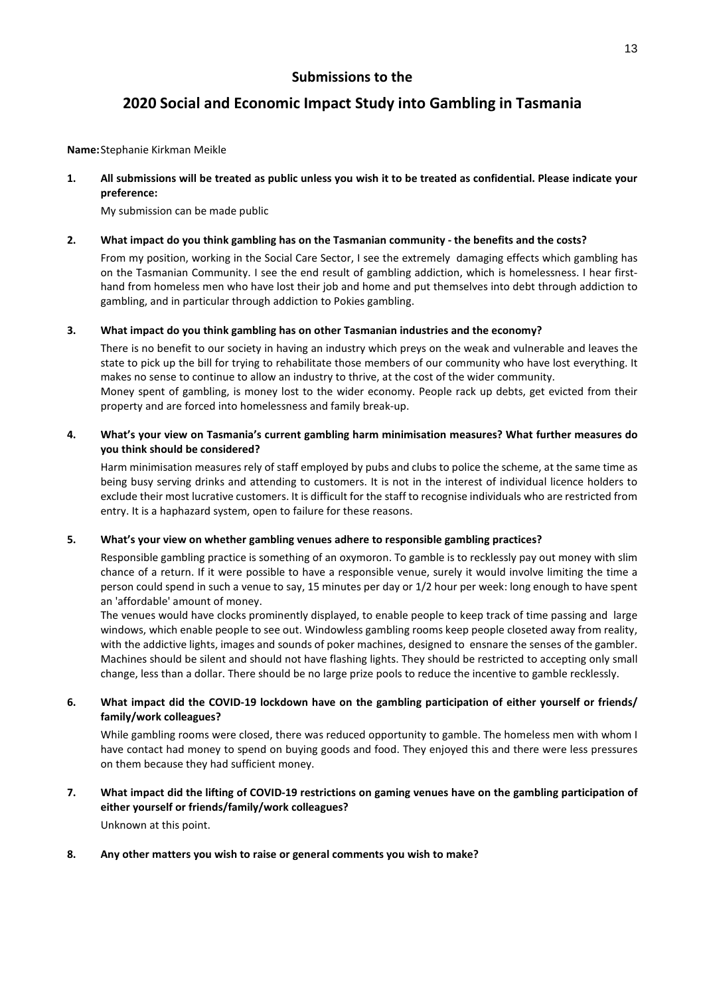## **2020 Social and Economic Impact Study into Gambling in Tasmania**

**Name:** Stephanie Kirkman Meikle

**1. All submissions will be treated as public unless you wish it to be treated as confidential. Please indicate your preference:** 

My submission can be made public

### **2. What impact do you think gambling has on the Tasmanian community - the benefits and the costs?**

From my position, working in the Social Care Sector, I see the extremely damaging effects which gambling has on the Tasmanian Community. I see the end result of gambling addiction, which is homelessness. I hear firsthand from homeless men who have lost their job and home and put themselves into debt through addiction to gambling, and in particular through addiction to Pokies gambling.

### **3. What impact do you think gambling has on other Tasmanian industries and the economy?**

There is no benefit to our society in having an industry which preys on the weak and vulnerable and leaves the state to pick up the bill for trying to rehabilitate those members of our community who have lost everything. It makes no sense to continue to allow an industry to thrive, at the cost of the wider community.

Money spent of gambling, is money lost to the wider economy. People rack up debts, get evicted from their property and are forced into homelessness and family break-up.

### **4. What's your view on Tasmania's current gambling harm minimisation measures? What further measures do you think should be considered?**

Harm minimisation measures rely of staff employed by pubs and clubs to police the scheme, at the same time as being busy serving drinks and attending to customers. It is not in the interest of individual licence holders to exclude their most lucrative customers. It is difficult for the staff to recognise individuals who are restricted from entry. It is a haphazard system, open to failure for these reasons.

### **5. What's your view on whether gambling venues adhere to responsible gambling practices?**

Responsible gambling practice is something of an oxymoron. To gamble is to recklessly pay out money with slim chance of a return. If it were possible to have a responsible venue, surely it would involve limiting the time a person could spend in such a venue to say, 15 minutes per day or 1/2 hour per week: long enough to have spent an 'affordable' amount of money.

The venues would have clocks prominently displayed, to enable people to keep track of time passing and large windows, which enable people to see out. Windowless gambling rooms keep people closeted away from reality, with the addictive lights, images and sounds of poker machines, designed to ensnare the senses of the gambler. Machines should be silent and should not have flashing lights. They should be restricted to accepting only small change, less than a dollar. There should be no large prize pools to reduce the incentive to gamble recklessly.

### **6. What impact did the COVID-19 lockdown have on the gambling participation of either yourself or friends/ family/work colleagues?**

While gambling rooms were closed, there was reduced opportunity to gamble. The homeless men with whom I have contact had money to spend on buying goods and food. They enjoyed this and there were less pressures on them because they had sufficient money.

**7. What impact did the lifting of COVID-19 restrictions on gaming venues have on the gambling participation of either yourself or friends/family/work colleagues?**  Unknown at this point.

### **8. Any other matters you wish to raise or general comments you wish to make?**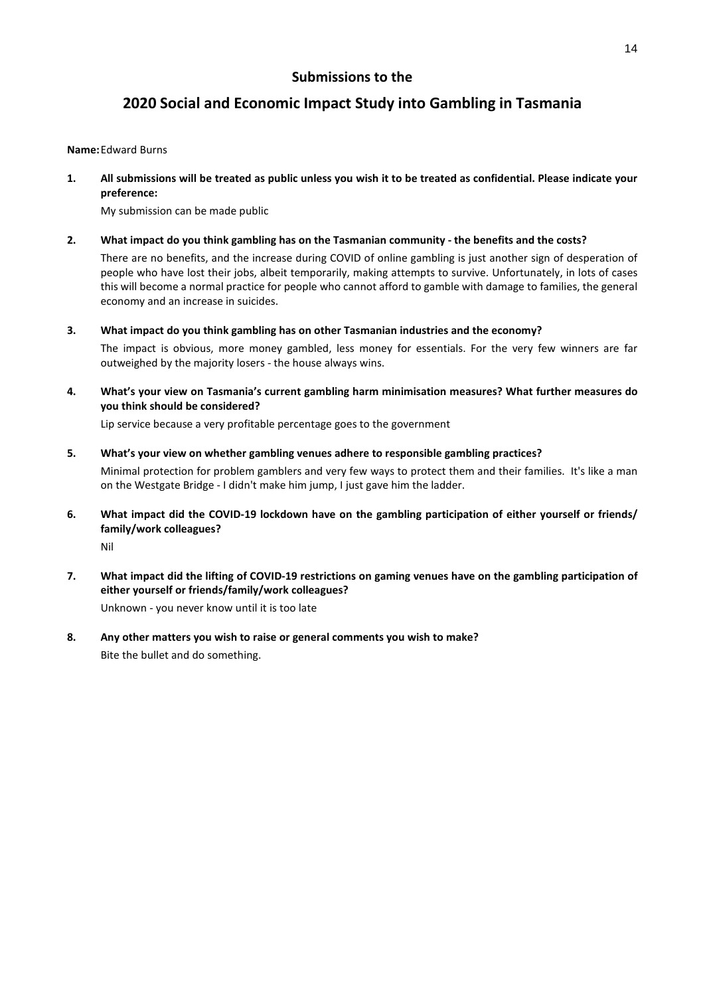## **2020 Social and Economic Impact Study into Gambling in Tasmania**

### **Name:** Edward Burns

**1. All submissions will be treated as public unless you wish it to be treated as confidential. Please indicate your preference:** 

My submission can be made public

### **2. What impact do you think gambling has on the Tasmanian community - the benefits and the costs?**

There are no benefits, and the increase during COVID of online gambling is just another sign of desperation of people who have lost their jobs, albeit temporarily, making attempts to survive. Unfortunately, in lots of cases this will become a normal practice for people who cannot afford to gamble with damage to families, the general economy and an increase in suicides.

**3. What impact do you think gambling has on other Tasmanian industries and the economy?** 

The impact is obvious, more money gambled, less money for essentials. For the very few winners are far outweighed by the majority losers - the house always wins.

**4. What's your view on Tasmania's current gambling harm minimisation measures? What further measures do you think should be considered?** 

Lip service because a very profitable percentage goes to the government

### **5. What's your view on whether gambling venues adhere to responsible gambling practices?**

Minimal protection for problem gamblers and very few ways to protect them and their families. It's like a man on the Westgate Bridge - I didn't make him jump, I just gave him the ladder.

**6. What impact did the COVID-19 lockdown have on the gambling participation of either yourself or friends/ family/work colleagues?** 

Nil

**7. What impact did the lifting of COVID-19 restrictions on gaming venues have on the gambling participation of either yourself or friends/family/work colleagues?** 

Unknown - you never know until it is too late

**8. Any other matters you wish to raise or general comments you wish to make?**  Bite the bullet and do something.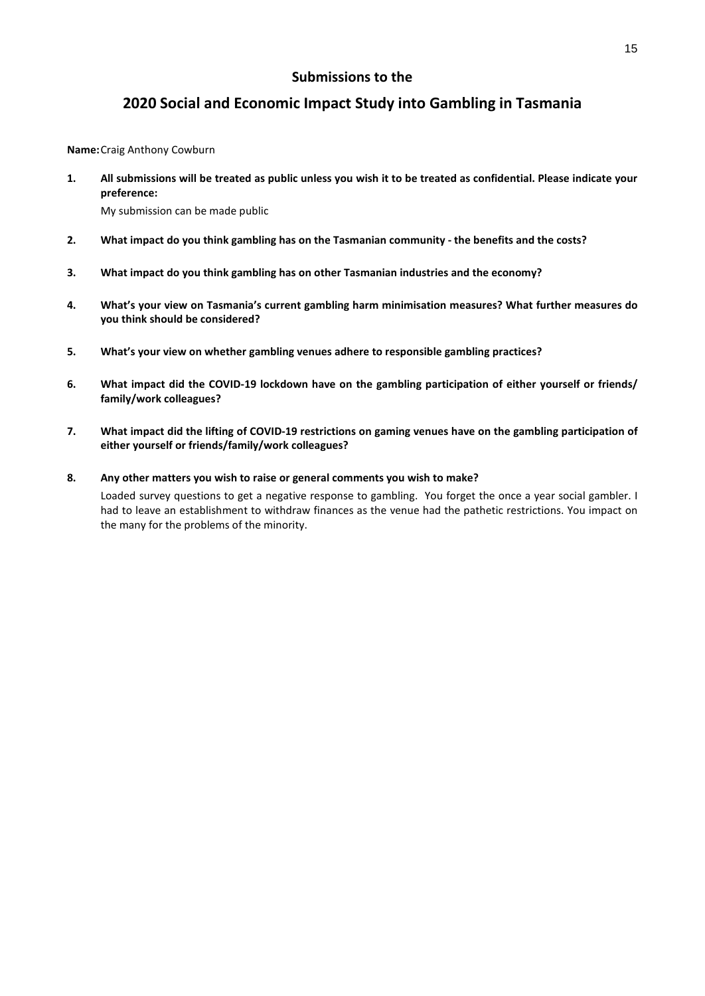## **2020 Social and Economic Impact Study into Gambling in Tasmania**

**Name:** Craig Anthony Cowburn

**1. All submissions will be treated as public unless you wish it to be treated as confidential. Please indicate your preference:** 

My submission can be made public

- **2. What impact do you think gambling has on the Tasmanian community the benefits and the costs?**
- **3. What impact do you think gambling has on other Tasmanian industries and the economy?**
- **4. What's your view on Tasmania's current gambling harm minimisation measures? What further measures do you think should be considered?**
- **5. What's your view on whether gambling venues adhere to responsible gambling practices?**
- **6. What impact did the COVID-19 lockdown have on the gambling participation of either yourself or friends/ family/work colleagues?**
- **7. What impact did the lifting of COVID-19 restrictions on gaming venues have on the gambling participation of either yourself or friends/family/work colleagues?**

### **8. Any other matters you wish to raise or general comments you wish to make?**

Loaded survey questions to get a negative response to gambling. You forget the once a year social gambler. I had to leave an establishment to withdraw finances as the venue had the pathetic restrictions. You impact on the many for the problems of the minority.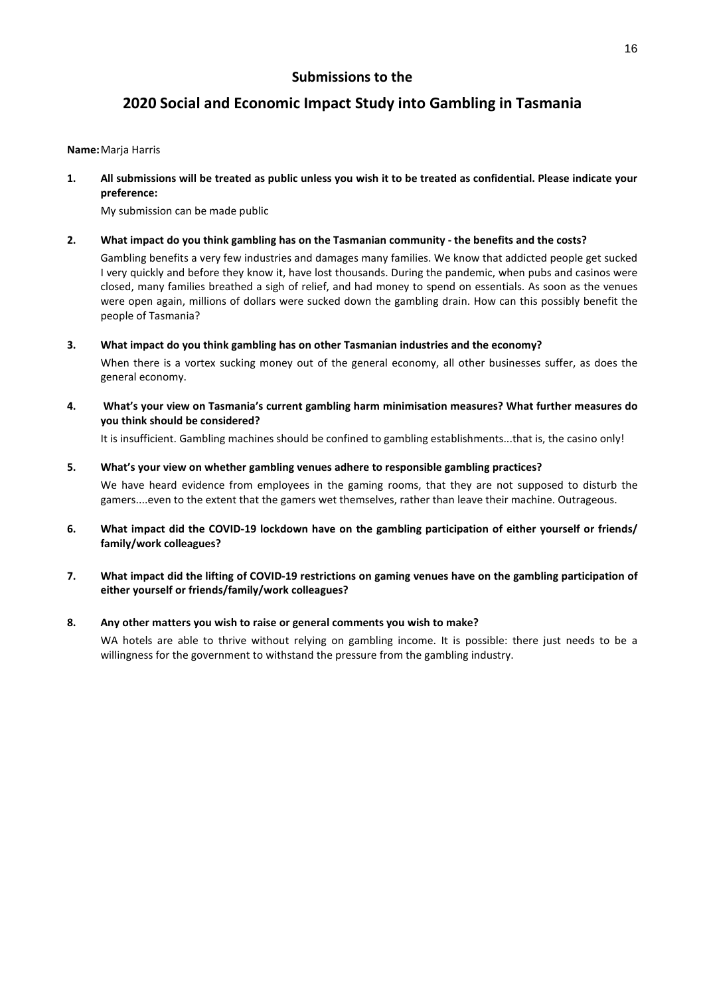## **2020 Social and Economic Impact Study into Gambling in Tasmania**

### **Name:** Marja Harris

**1. All submissions will be treated as public unless you wish it to be treated as confidential. Please indicate your preference:** 

My submission can be made public

### **2. What impact do you think gambling has on the Tasmanian community - the benefits and the costs?**

Gambling benefits a very few industries and damages many families. We know that addicted people get sucked I very quickly and before they know it, have lost thousands. During the pandemic, when pubs and casinos were closed, many families breathed a sigh of relief, and had money to spend on essentials. As soon as the venues were open again, millions of dollars were sucked down the gambling drain. How can this possibly benefit the people of Tasmania?

**3. What impact do you think gambling has on other Tasmanian industries and the economy?** 

When there is a vortex sucking money out of the general economy, all other businesses suffer, as does the general economy.

**4. What's your view on Tasmania's current gambling harm minimisation measures? What further measures do you think should be considered?** 

It is insufficient. Gambling machines should be confined to gambling establishments...that is, the casino only!

**5. What's your view on whether gambling venues adhere to responsible gambling practices?** 

We have heard evidence from employees in the gaming rooms, that they are not supposed to disturb the gamers....even to the extent that the gamers wet themselves, rather than leave their machine. Outrageous.

- **6. What impact did the COVID-19 lockdown have on the gambling participation of either yourself or friends/ family/work colleagues?**
- **7. What impact did the lifting of COVID-19 restrictions on gaming venues have on the gambling participation of either yourself or friends/family/work colleagues?**

### **8. Any other matters you wish to raise or general comments you wish to make?**

WA hotels are able to thrive without relying on gambling income. It is possible: there just needs to be a willingness for the government to withstand the pressure from the gambling industry.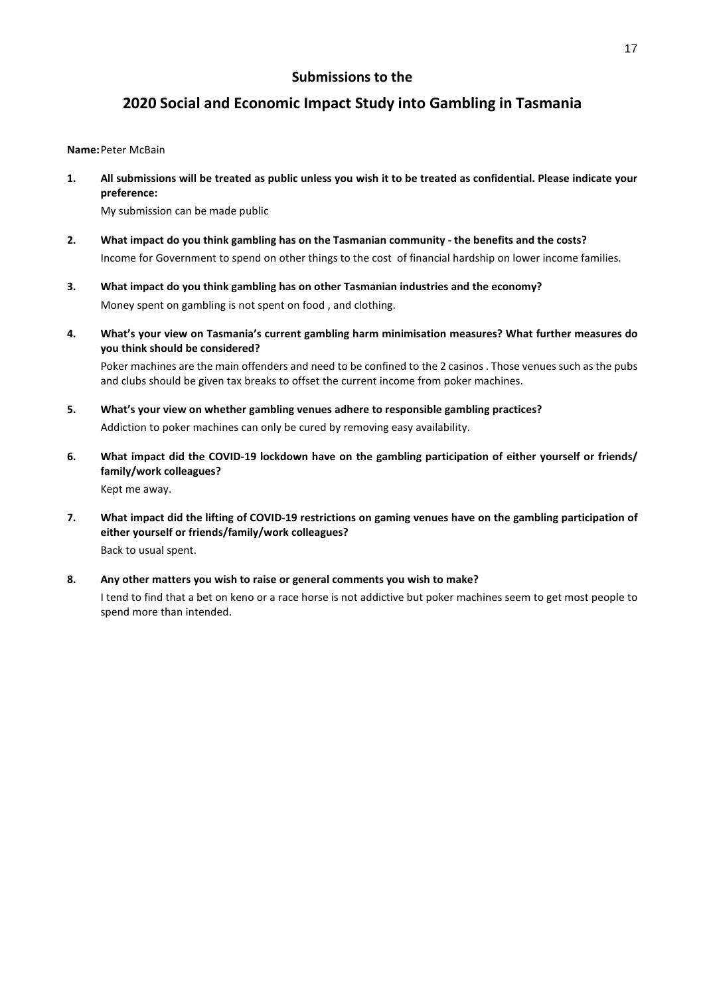## **2020 Social and Economic Impact Study into Gambling in Tasmania**

### **Name:** Peter McBain

**1. All submissions will be treated as public unless you wish it to be treated as confidential. Please indicate your preference:** 

My submission can be made public

- **2. What impact do you think gambling has on the Tasmanian community the benefits and the costs?**  Income for Government to spend on other things to the cost of financial hardship on lower income families.
- **3. What impact do you think gambling has on other Tasmanian industries and the economy?**  Money spent on gambling is not spent on food , and clothing.
- **4. What's your view on Tasmania's current gambling harm minimisation measures? What further measures do you think should be considered?**

Poker machines are the main offenders and need to be confined to the 2 casinos . Those venues such as the pubs and clubs should be given tax breaks to offset the current income from poker machines.

- **5. What's your view on whether gambling venues adhere to responsible gambling practices?**  Addiction to poker machines can only be cured by removing easy availability.
- **6. What impact did the COVID-19 lockdown have on the gambling participation of either yourself or friends/ family/work colleagues?**  Kept me away.
- **7. What impact did the lifting of COVID-19 restrictions on gaming venues have on the gambling participation of either yourself or friends/family/work colleagues?**  Back to usual spent.
- **8. Any other matters you wish to raise or general comments you wish to make?**

I tend to find that a bet on keno or a race horse is not addictive but poker machines seem to get most people to spend more than intended.